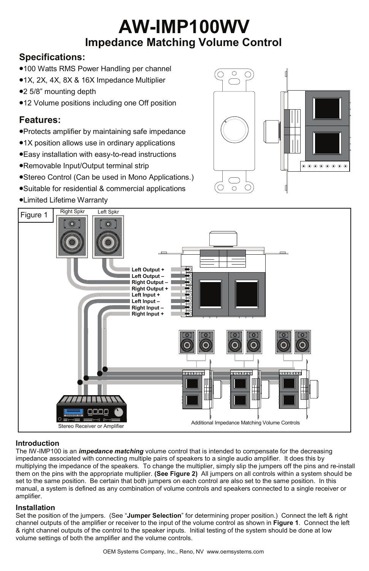# **AW-IMP100WV Impedance Matching Volume Control**

# **Specifications:**

- •100 Watts RMS Power Handling per channel
- •1X, 2X, 4X, 8X & 16X Impedance Multiplier
- •2 5/8" mounting depth
- •12 Volume positions including one Off position

## **Features:**

- •Protects amplifier by maintaining safe impedance
- •1X position allows use in ordinary applications
- •Easy installation with easy-to-read instructions
- •Removable Input/Output terminal strip
- •Stereo Control (Can be used in Mono Applications.)
- •Suitable for residential & commercial applications
- •Limited Lifetime Warranty





## **Introduction**

The IW-IMP100 is an *impedance matching* volume control that is intended to compensate for the decreasing impedance associated with connecting multiple pairs of speakers to a single audio amplifier. It does this by multiplying the impedance of the speakers. To change the multiplier, simply slip the jumpers off the pins and re-install them on the pins with the appropriate multiplier. **(See Figure 2)** All jumpers on all controls within a system should be set to the same position. Be certain that both jumpers on each control are also set to the same position. In this manual, a system is defined as any combination of volume controls and speakers connected to a single receiver or amplifier.

## **Installation**

Set the position of the jumpers. (See "**Jumper Selection**" for determining proper position.) Connect the left & right channel outputs of the amplifier or receiver to the input of the volume control as shown in **Figure 1**. Connect the left & right channel outputs of the control to the speaker inputs. Initial testing of the system should be done at low volume settings of both the amplifier and the volume controls.